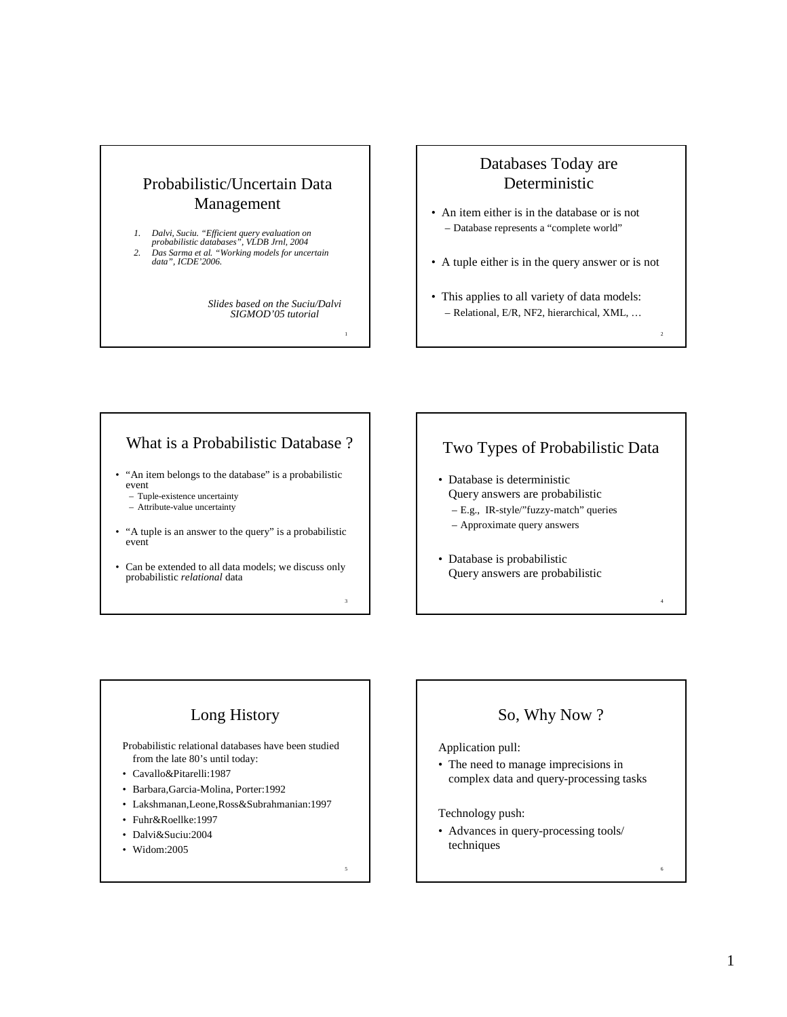# Probabilistic/Uncertain Data Management

- *1. Dalvi, Suciu. "Efficient query evaluation on probabilistic databases", VLDB Jrnl, 2004*
- *2. Das Sarma et al. "Working models for uncertain data", ICDE'2006.*

*Slides based on the Suciu/Dalvi SIGMOD'05 tutorial*

1

3

5

## Databases Today are Deterministic

- An item either is in the database or is not – Database represents a "complete world"
- A tuple either is in the query answer or is not
- This applies to all variety of data models: – Relational, E/R, NF2, hierarchical, XML, …

 $\overline{2}$ 

4

6

## What is a Probabilistic Database ?

- "An item belongs to the database" is a probabilistic event
	- Tuple-existence uncertainty – Attribute-value uncertainty
- "A tuple is an answer to the query" is a probabilistic event
- Can be extended to all data models; we discuss only probabilistic *relational* data

# Two Types of Probabilistic Data

- Database is deterministic Query answers are probabilistic – E.g., IR-style/"fuzzy-match" queries
	-
	- Approximate query answers
- Database is probabilistic Query answers are probabilistic

# Long History

Probabilistic relational databases have been studied from the late 80's until today:

- Cavallo&Pitarelli:1987
- Barbara,Garcia-Molina, Porter:1992
- Lakshmanan,Leone,Ross&Subrahmanian:1997
- Fuhr&Roellke:1997
- Dalvi&Suciu:2004
- Widom:2005

# So, Why Now ?

### Application pull:

• The need to manage imprecisions in complex data and query-processing tasks

### Technology push:

• Advances in query-processing tools/ techniques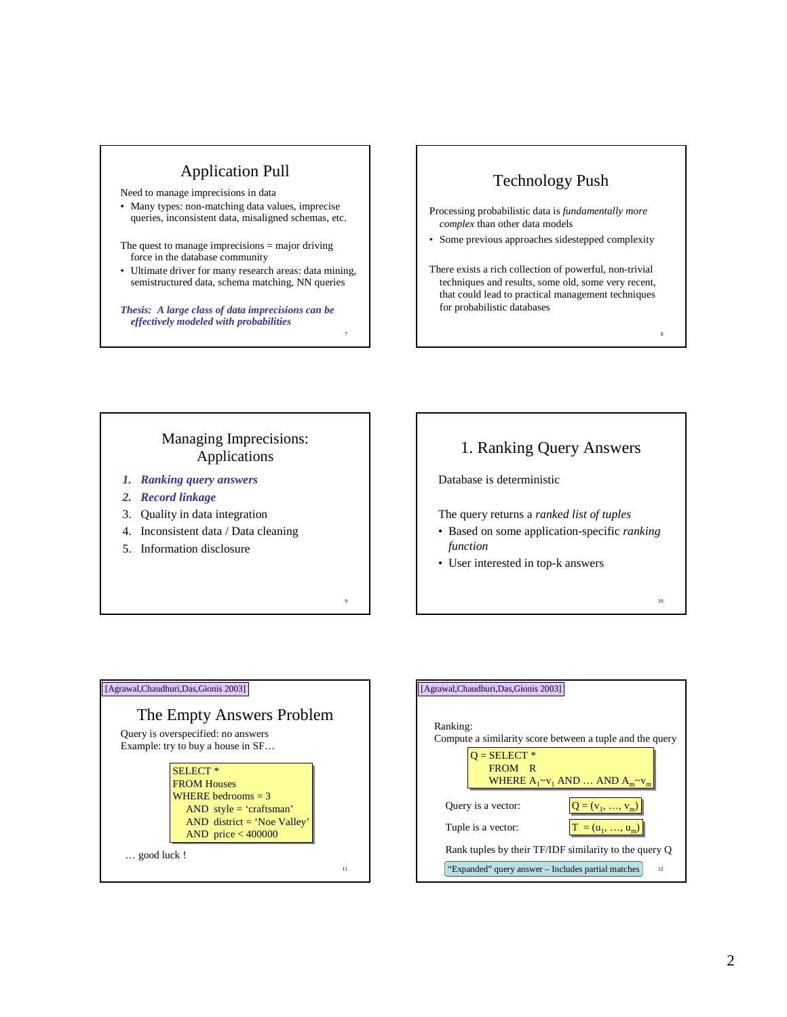## Application Pull

Need to manage imprecisions in data

- Many types: non-matching data values, imprecise queries, inconsistent data, misaligned schemas, etc.
- The quest to manage imprecisions = major driving force in the database community
- Ultimate driver for many research areas: data mining, semistructured data, schema matching, NN queries

7

9

*Thesis: A large class of data imprecisions can be effectively modeled with probabilities*

## Technology Push

- Processing probabilistic data is *fundamentally more complex* than other data models
- Some previous approaches sidestepped complexity
- There exists a rich collection of powerful, non-trivial techniques and results, some old, some very recent, that could lead to practical management techniques for probabilistic databases

8

10

### Managing Imprecisions: Applications

- *1. Ranking query answers*
- *2. Record linkage*
- 3. Quality in data integration
- 4. Inconsistent data / Data cleaning
- 5. Information disclosure

# 1. Ranking Query Answers

Database is deterministic

The query returns a *ranked list of tuples*

- Based on some application-specific *ranking function*
- User interested in top-k answers



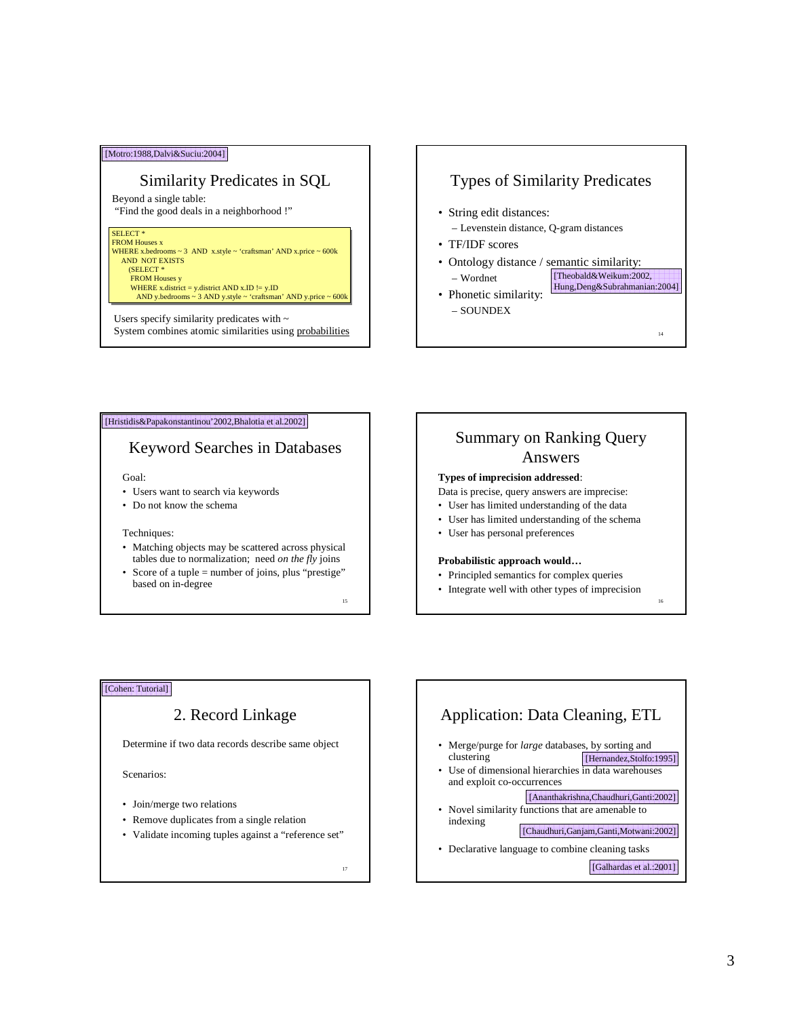### [Motro:1988,Dalvi&Suciu:2004]

### Similarity Predicates in SQL

Beyond a single table: "Find the good deals in a neighborhood !"

### SELECT<sup>\*</sup>

SELECT \* FROM Houses x WHERE x.bedrooms ~ 3 AND x.style ~ 'craftsman' AND x.price ~ 600k AND NOT EXISTS AND NOT EXISTS (SELECT \* FROM Houses y FROM Houses y FROM Houses x WHERE x.bedrooms ~ 3 AND x.style ~ 'craftsman' AND x.price ~ 600k (SELECT \*

WHERE x.district = y.district AND x.ID  $:=$  y.ID<br>AND y.bedrooms ~ 3 AND y.style ~ 'craftsman' AND y.price ~ 600k WHERE x.district = y.district AND x.ID != y.ID AND y.bedrooms ~ 3 AND y.style ~ 'craftsman' AND y.price ~ 600k

System combines atomic similarities using probabilities and the state of the state of the state of the state of the state of the state of the state of the state of the state of the state of the state of the state of the st Users specify similarity predicates with  $\sim$ 

## Types of Similarity Predicates

- String edit distances:
- Levenstein distance, Q-gram distances
- TF/IDF scores
- Ontology distance / semantic similarity: – Wordnet [Theobald&Weikum:2002, Hung,Deng&Subrahmanian:2004]
- Phonetic similarity: – SOUNDEX

#### [Hristidis&Papakonstantinou'2002,Bhalotia et al.2002]

## Keyword Searches in Databases

#### Goal:

- Users want to search via keywords
- Do not know the schema

#### Techniques:

- Matching objects may be scattered across physical tables due to normalization; need *on the fly* joins
- Score of a tuple = number of joins, plus "prestige" based on in-degree

15

17

## Summary on Ranking Query Answers

#### **Types of imprecision addressed**:

- Data is precise, query answers are imprecise:
- User has limited understanding of the data
- User has limited understanding of the schema
- User has personal preferences

#### **Probabilistic approach would…**

- Principled semantics for complex queries
- Integrate well with other types of imprecision

16

### [Cohen: Tutorial]

## 2. Record Linkage

Determine if two data records describe same object

Scenarios:

- Join/merge two relations
- Remove duplicates from a single relation
- Validate incoming tuples against a "reference set"

[Galhardas et al.:2001] Application: Data Cleaning, ETL • Merge/purge for *large* databases, by sorting and clustering • Use of dimensional hierarchies in data warehouses and exploit co-occurrences • Novel similarity functions that are amenable to indexing • Declarative language to combine cleaning tasks [Hernandez,Stolfo:1995] [Ananthakrishna,Chaudhuri,Ganti:2002] [Chaudhuri,Ganjam,Ganti,Motwani:2002]

3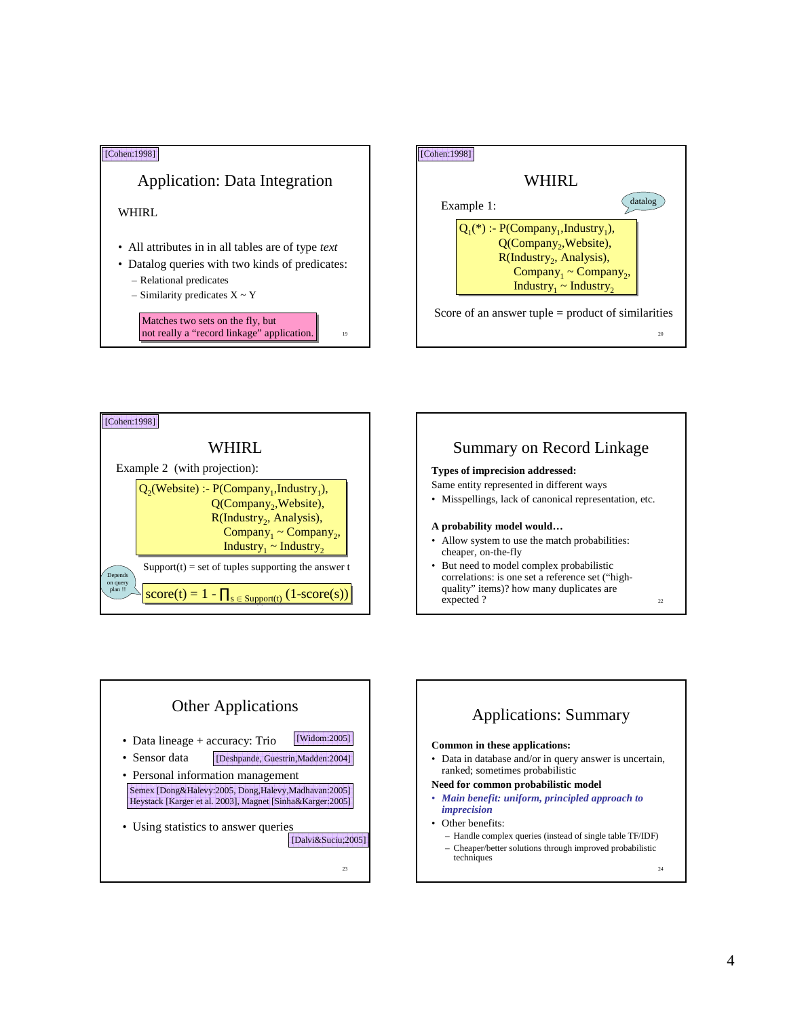









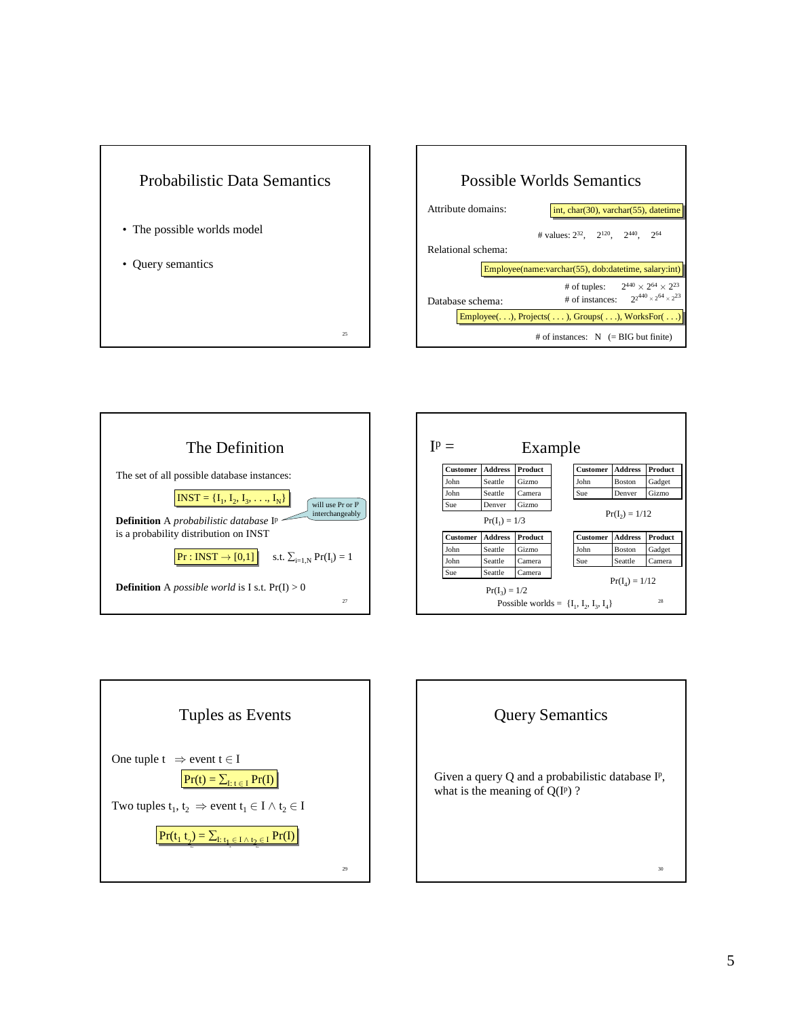